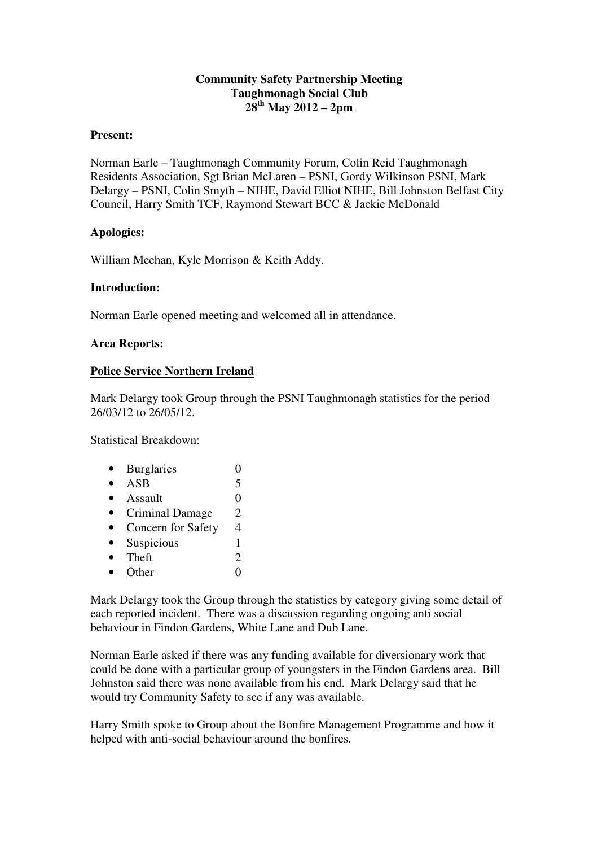## **Community Safety Partnership Meeting Taughmonagh Social Club 28th May 2012 – 2pm**

#### **Present:**

Norman Earle – Taughmonagh Community Forum, Colin Reid Taughmonagh Residents Association, Sgt Brian McLaren – PSNI, Gordy Wilkinson PSNI, Mark Delargy – PSNI, Colin Smyth – NIHE, David Elliot NIHE, Bill Johnston Belfast City Council, Harry Smith TCF, Raymond Stewart BCC & Jackie McDonald

### **Apologies:**

William Meehan, Kyle Morrison & Keith Addy.

### **Introduction:**

Norman Earle opened meeting and welcomed all in attendance.

### **Area Reports:**

### **Police Service Northern Ireland**

Mark Delargy took Group through the PSNI Taughmonagh statistics for the period 26/03/12 to 26/05/12.

Statistical Breakdown:

| <b>Burglaries</b>      |   |
|------------------------|---|
| <b>ASB</b>             | 5 |
| Assault                | 0 |
| <b>Criminal Damage</b> | 2 |
| Concern for Safety     | 4 |
| Suspicious             | 1 |
| Theft                  | 2 |
| Other                  |   |
|                        |   |

Mark Delargy took the Group through the statistics by category giving some detail of each reported incident. There was a discussion regarding ongoing anti social behaviour in Findon Gardens, White Lane and Dub Lane.

Norman Earle asked if there was any funding available for diversionary work that could be done with a particular group of youngsters in the Findon Gardens area. Bill Johnston said there was none available from his end. Mark Delargy said that he would try Community Safety to see if any was available.

Harry Smith spoke to Group about the Bonfire Management Programme and how it helped with anti-social behaviour around the bonfires.